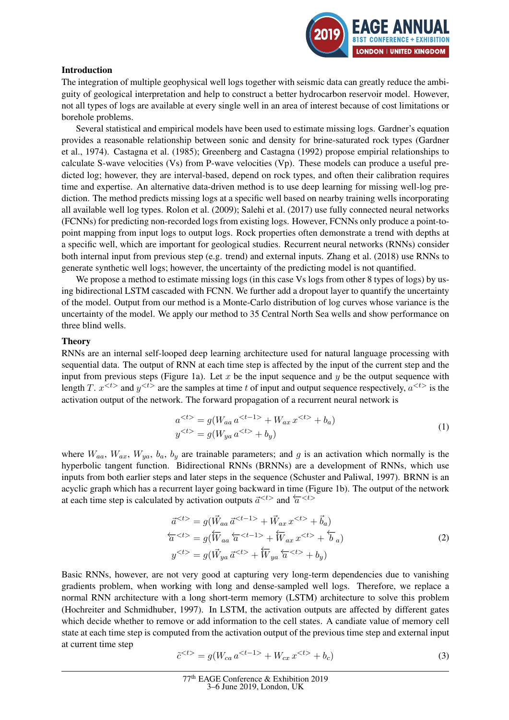

## Introduction

The integration of multiple geophysical well logs together with seismic data can greatly reduce the ambiguity of geological interpretation and help to construct a better hydrocarbon reservoir model. However, not all types of logs are available at every single well in an area of interest because of cost limitations or borehole problems.

Several statistical and empirical models have been used to estimate missing logs. Gardner's equation provides a reasonable relationship between sonic and density for brine-saturated rock types (Gardner et al., 1974). Castagna et al. (1985); Greenberg and Castagna (1992) propose empirial relationships to calculate S-wave velocities (Vs) from P-wave velocities (Vp). These models can produce a useful predicted log; however, they are interval-based, depend on rock types, and often their calibration requires time and expertise. An alternative data-driven method is to use deep learning for missing well-log prediction. The method predicts missing logs at a specific well based on nearby training wells incorporating all available well log types. Rolon et al. (2009); Salehi et al. (2017) use fully connected neural networks (FCNNs) for predicting non-recorded logs from existing logs. However, FCNNs only produce a point-topoint mapping from input logs to output logs. Rock properties often demonstrate a trend with depths at a specific well, which are important for geological studies. Recurrent neural networks (RNNs) consider both internal input from previous step (e.g. trend) and external inputs. Zhang et al. (2018) use RNNs to generate synthetic well logs; however, the uncertainty of the predicting model is not quantified.

We propose a method to estimate missing logs (in this case Vs logs from other 8 types of logs) by using bidirectional LSTM cascaded with FCNN. We further add a dropout layer to quantify the uncertainty of the model. Output from our method is a Monte-Carlo distribution of log curves whose variance is the uncertainty of the model. We apply our method to 35 Central North Sea wells and show performance on three blind wells.

## Theory

RNNs are an internal self-looped deep learning architecture used for natural language processing with sequential data. The output of RNN at each time step is affected by the input of the current step and the input from previous steps (Figure 1a). Let x be the input sequence and  $\gamma$  be the output sequence with length T.  $x^{}$  and  $y^{}$  are the samples at time t of input and output sequence respectively,  $a^{}$  is the activation output of the network. The forward propagation of a recurrent neural network is

$$
a^{} = g(W_{aa} a^{} + W_{ax} x^{} + b_a)
$$
  
\n
$$
y^{} = g(W_{ya} a^{} + b_y)
$$
\n(1)

where  $W_{aa}$ ,  $W_{ax}$ ,  $W_{ya}$ ,  $b_a$ ,  $b_y$  are trainable parameters; and g is an activation which normally is the hyperbolic tangent function. Bidirectional RNNs (BRNNs) are a development of RNNs, which use inputs from both earlier steps and later steps in the sequence (Schuster and Paliwal, 1997). BRNN is an acyclic graph which has a recurrent layer going backward in time (Figure 1b). The output of the network at each time step is calculated by activation outputs  $\vec{a}^{lt>2}$  and  $\vec{a}^{lt>}$ 

$$
\vec{a}^{} = g(\vec{W}_{aa} \vec{a}^{} + \vec{W}_{ax} x^{} + \vec{b}_a)
$$
  
\n
$$
\overleftarrow{a}^{} = g(\overleftarrow{W}_{aa} \overleftarrow{a}^{} + \overleftarrow{W}_{ax} x^{} + \overleftarrow{b}_a)
$$
  
\n
$$
y^{} = g(\vec{W}_{ya} \vec{a}^{} + \overleftarrow{W}_{ya} \overleftarrow{a}^{} + b_y)
$$
\n(2)

Basic RNNs, however, are not very good at capturing very long-term dependencies due to vanishing gradients problem, when working with long and dense-sampled well logs. Therefore, we replace a normal RNN architecture with a long short-term memory (LSTM) architecture to solve this problem (Hochreiter and Schmidhuber, 1997). In LSTM, the activation outputs are affected by different gates which decide whether to remove or add information to the cell states. A candiate value of memory cell state at each time step is computed from the activation output of the previous time step and external input at current time step

$$
\tilde{c}^{} = g(W_{ca} a^{} + W_{cx} x^{} + b_c)
$$
\n(3)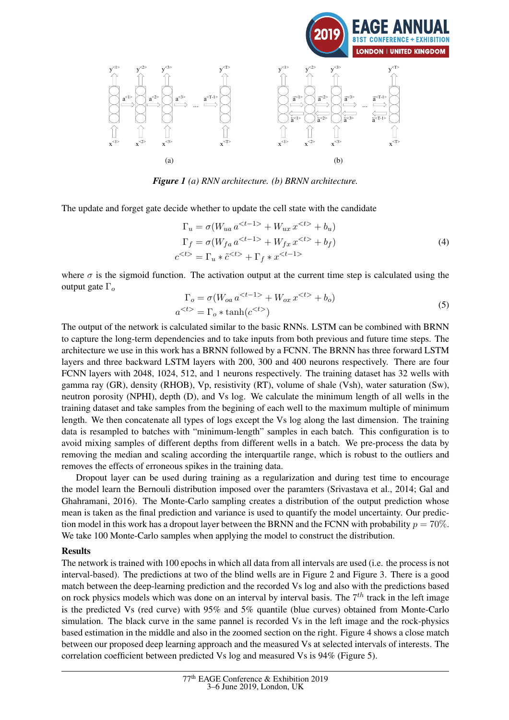

*Figure 1 (a) RNN architecture. (b) BRNN architecture.*

The update and forget gate decide whether to update the cell state with the candidate

$$
\Gamma_u = \sigma(W_{ua} a^{} + W_{ux} x^{} + b_u)
$$
  
\n
$$
\Gamma_f = \sigma(W_{fa} a^{} + W_{fx} x^{} + b_f)
$$
  
\n
$$
c^{} = \Gamma_u * \tilde{c}^{} + \Gamma_f * x^{}
$$
\n(4)

where  $\sigma$  is the sigmoid function. The activation output at the current time step is calculated using the output gate  $\Gamma_o$ 

$$
\Gamma_o = \sigma(W_{oa} a^{} + W_{ox} x^{} + b_o)
$$
  
\n
$$
a^{} = \Gamma_o * \tanh(c^{})
$$
\n(5)

The output of the network is calculated similar to the basic RNNs. LSTM can be combined with BRNN to capture the long-term dependencies and to take inputs from both previous and future time steps. The architecture we use in this work has a BRNN followed by a FCNN. The BRNN has three forward LSTM layers and three backward LSTM layers with 200, 300 and 400 neurons respectively. There are four FCNN layers with 2048, 1024, 512, and 1 neurons respectively. The training dataset has 32 wells with gamma ray (GR), density (RHOB), Vp, resistivity (RT), volume of shale (Vsh), water saturation (Sw), neutron porosity (NPHI), depth (D), and Vs log. We calculate the minimum length of all wells in the training dataset and take samples from the begining of each well to the maximum multiple of minimum length. We then concatenate all types of logs except the Vs log along the last dimension. The training data is resampled to batches with "minimum-length" samples in each batch. This configuration is to avoid mixing samples of different depths from different wells in a batch. We pre-process the data by removing the median and scaling according the interquartile range, which is robust to the outliers and removes the effects of erroneous spikes in the training data.

Dropout layer can be used during training as a regularization and during test time to encourage the model learn the Bernouli distribution imposed over the paramters (Srivastava et al., 2014; Gal and Ghahramani, 2016). The Monte-Carlo sampling creates a distribution of the output prediction whose mean is taken as the final prediction and variance is used to quantify the model uncertainty. Our prediction model in this work has a dropout layer between the BRNN and the FCNN with probability  $p = 70\%$ . We take 100 Monte-Carlo samples when applying the model to construct the distribution.

## Results

The network is trained with 100 epochs in which all data from all intervals are used (i.e. the process is not interval-based). The predictions at two of the blind wells are in Figure 2 and Figure 3. There is a good match between the deep-learning prediction and the recorded Vs log and also with the predictions based on rock physics models which was done on an interval by interval basis. The  $7<sup>th</sup>$  track in the left image is the predicted Vs (red curve) with 95% and 5% quantile (blue curves) obtained from Monte-Carlo simulation. The black curve in the same pannel is recorded Vs in the left image and the rock-physics based estimation in the middle and also in the zoomed section on the right. Figure 4 shows a close match between our proposed deep learning approach and the measured Vs at selected intervals of interests. The correlation coefficient between predicted Vs log and measured Vs is 94% (Figure 5).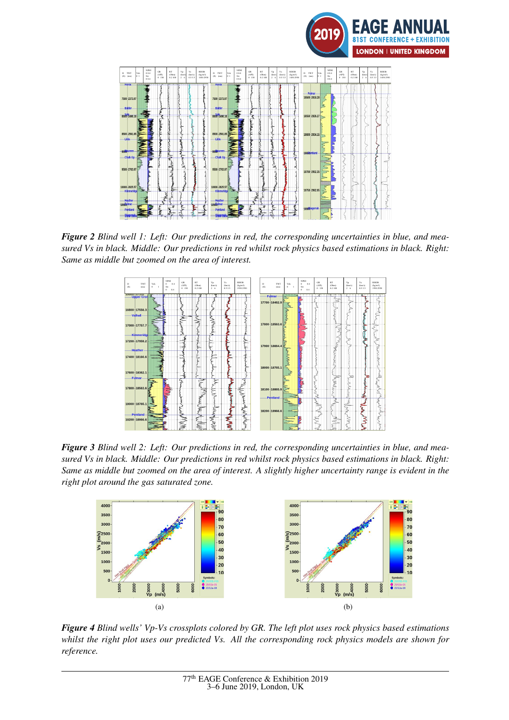



*Figure 2 Blind well 1: Left: Our predictions in red, the corresponding uncertainties in blue, and measured Vs in black. Middle: Our predictions in red whilst rock physics based estimations in black. Right: Same as middle but zoomed on the area of interest.*



*Figure 3 Blind well 2: Left: Our predictions in red, the corresponding uncertainties in blue, and measured Vs in black. Middle: Our predictions in red whilst rock physics based estimations in black. Right: Same as middle but zoomed on the area of interest. A slightly higher uncertainty range is evident in the right plot around the gas saturated zone.*



*Figure 4 Blind wells' Vp-Vs crossplots colored by GR. The left plot uses rock physics based estimations whilst the right plot uses our predicted Vs. All the corresponding rock physics models are shown for reference.*